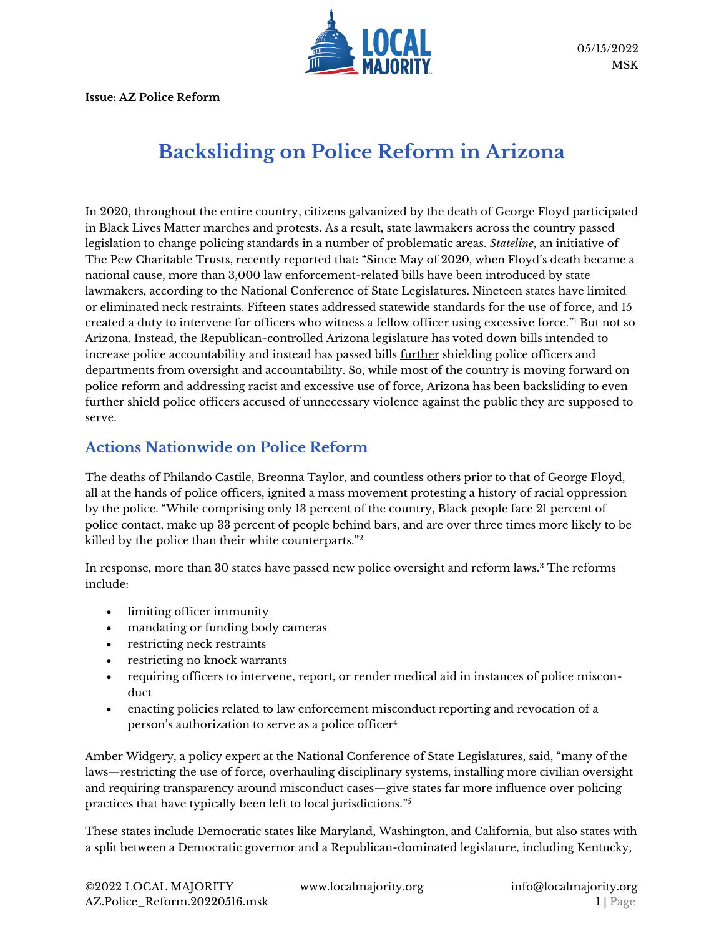

**Issue: AZ Police Reform**

# **Backsliding on Police Reform in Arizona**

In 2020, throughout the entire country, citizens galvanized by the death of George Floyd participated in Black Lives Matter marches and protests. As a result, state lawmakers across the country passed legislation to change policing standards in a number of problematic areas. *Stateline*, an initiative of The Pew Charitable Trusts, recently reported that: "Since May of 2020, when Floyd's death became a national cause, more than 3,000 law enforcement-related bills have been introduced by state lawmakers, according to the National Conference of State Legislatures. Nineteen states have limited or eliminated neck restraints. Fifteen states addressed statewide standards for the use of force, and 15 created a duty to intervene for officers who witness a fellow officer using excessive force." <sup>1</sup> But not so Arizona. Instead, the Republican-controlled Arizona legislature has voted down bills intended to increase police accountability and instead has passed bills further shielding police officers and departments from oversight and accountability. So, while most of the country is moving forward on police reform and addressing racist and excessive use of force, Arizona has been backsliding to even further shield police officers accused of unnecessary violence against the public they are supposed to serve.

#### **Actions Nationwide on Police Reform**

The deaths of Philando Castile, Breonna Taylor, and countless others prior to that of George Floyd, all at the hands of police officers, ignited a mass movement protesting a history of racial oppression by the police. "While comprising only 13 percent of the country, Black people face 21 percent of police contact, make up 33 percent of people behind bars, and are over three times more likely to be killed by the police than their white counterparts."<sup>2</sup>

In response, more than 30 states have passed new police oversight and reform laws.<sup>3</sup> The reforms include:

- limiting officer immunity
- mandating or funding body cameras
- restricting neck restraints
- restricting no knock warrants
- requiring officers to intervene, report, or render medical aid in instances of police misconduct
- enacting policies related to law enforcement misconduct reporting and revocation of a person's authorization to serve as a police officer<sup>4</sup>

Amber Widgery, a policy expert at the National Conference of State Legislatures, said, "many of the laws—restricting the use of force, overhauling disciplinary systems, installing more civilian oversight and requiring transparency around misconduct cases—give states far more influence over policing practices that have typically been left to local jurisdictions." 5

These states include Democratic states like Maryland, Washington, and California, but also states with a split between a Democratic governor and a Republican-dominated legislature, including Kentucky,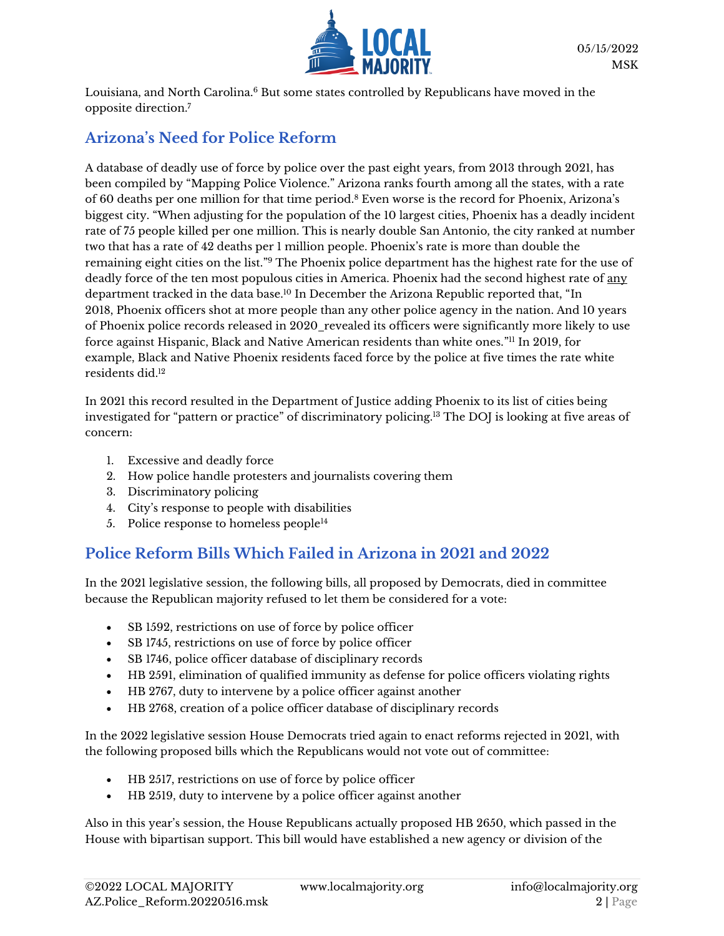

Louisiana, and North Carolina.<sup>6</sup> But some states controlled by Republicans have moved in the opposite direction.<sup>7</sup>

## **Arizona's Need for Police Reform**

A database of deadly use of force by police over the past eight years, from 2013 through 2021, has been compiled by "Mapping Police Violence." Arizona ranks fourth among all the states, with a rate of 60 deaths per one million for that time period.<sup>8</sup> Even worse is the record for Phoenix, Arizona's biggest city. "When adjusting for the population of the 10 largest cities, Phoenix has a deadly incident rate of 75 people killed per one million. This is nearly double San Antonio, the city ranked at number two that has a rate of 42 deaths per 1 million people. Phoenix's rate is more than double the remaining eight cities on the list." <sup>9</sup> The Phoenix police department has the highest rate for the use of deadly force of the ten most populous cities in America. Phoenix had the second highest rate of any department tracked in the data base.<sup>10</sup> In December the Arizona Republic reported that, "In 2018, [Phoenix officers shot at more people than any other police agency](https://www.azcentral.com/in-depth/news/local/arizona-investigations/2019/06/20/phoenix-police-shootings-outpace-other-major-us-cities/3651151002/) in the nation. And 10 years of [Phoenix police records released in 2020](https://www.azcentral.com/in-depth/news/local/phoenix/2020/08/10/phoenix-police-use-force-data-black-latino-native-impact/5407299002/)\_revealed its officers were significantly more likely to use force against Hispanic, Black and Native American residents than white ones." <sup>11</sup> In 2019, for example, Black and Native Phoenix residents faced force by the police at five times the rate white residents did. 12

In 2021 this record resulted in the Department of Justice adding Phoenix to its list of cities being investigated for "pattern or practice" of discriminatory policing.<sup>13</sup> The DOJ is looking at five areas of concern:

- 1. Excessive and deadly force
- 2. How police handle protesters and journalists covering them
- 3. Discriminatory policing
- 4. City's response to people with disabilities
- 5. Police response to homeless people $14$

### **Police Reform Bills Which Failed in Arizona in 2021 and 2022**

In the 2021 legislative session, the following bills, all proposed by Democrats, died in committee because the Republican majority refused to let them be considered for a vote:

- SB 1592, restrictions on use of force by police officer
- SB 1745, restrictions on use of force by police officer
- SB 1746, police officer database of disciplinary records
- HB 2591, elimination of qualified immunity as defense for police officers violating rights
- HB 2767, duty to intervene by a police officer against another
- HB 2768, creation of a police officer database of disciplinary records

In the 2022 legislative session House Democrats tried again to enact reforms rejected in 2021, with the following proposed bills which the Republicans would not vote out of committee:

- HB 2517, restrictions on use of force by police officer
- HB 2519, duty to intervene by a police officer against another

Also in this year's session, the House Republicans actually proposed HB 2650, which passed in the House with bipartisan support. This bill would have established a new agency or division of the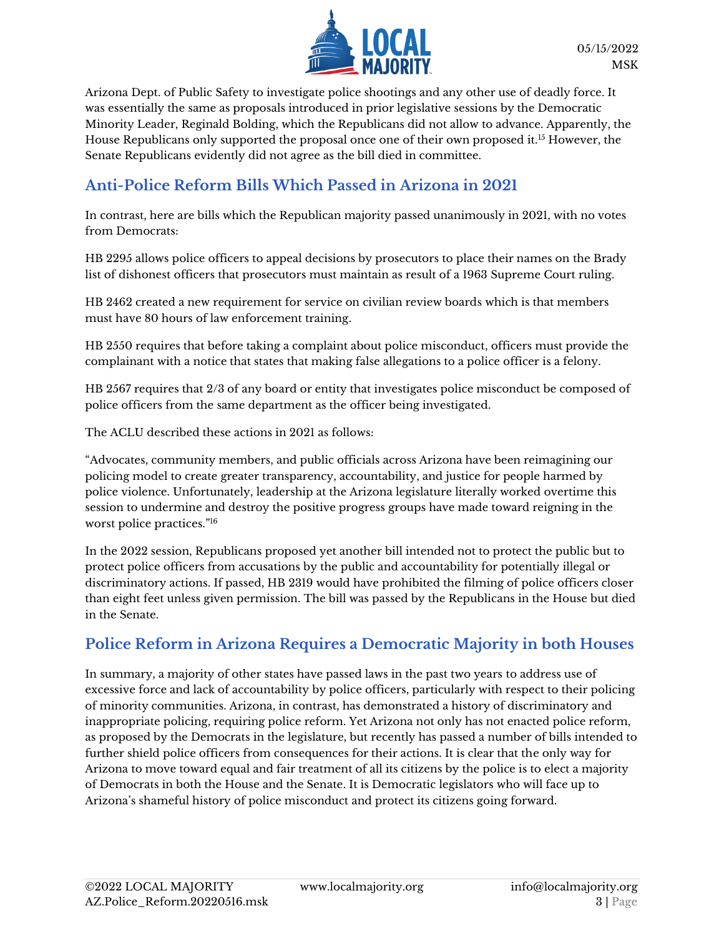

Arizona Dept. of Public Safety to investigate police shootings and any other use of deadly force. It was essentially the same as proposals introduced in prior legislative sessions by the Democratic Minority Leader, Reginald Bolding, which the Republicans did not allow to advance. Apparently, the House Republicans only supported the proposal once one of their own proposed it.<sup>15</sup> However, the Senate Republicans evidently did not agree as the bill died in committee.

#### **Anti-Police Reform Bills Which Passed in Arizona in 2021**

In contrast, here are bills which the Republican majority passed unanimously in 2021, with no votes from Democrats:

HB 2295 allows police officers to appeal decisions by prosecutors to place their names on the Brady list of dishonest officers that prosecutors must maintain as result of a 1963 Supreme Court ruling.

HB 2462 created a new requirement for service on civilian review boards which is that members must have 80 hours of law enforcement training.

HB 2550 requires that before taking a complaint about police misconduct, officers must provide the complainant with a notice that states that making false allegations to a police officer is a felony.

HB 2567 requires that 2/3 of any board or entity that investigates police misconduct be composed of police officers from the same department as the officer being investigated.

The ACLU described these actions in 2021 as follows:

"Advocates, community members, and public officials across Arizona have been reimagining our policing model to create greater transparency, accountability, and justice for people harmed by police violence. Unfortunately, leadership at the Arizona legislature literally worked overtime this session to undermine and destroy the positive progress groups have made toward reigning in the worst police practices." 16

In the 2022 session, Republicans proposed yet another bill intended not to protect the public but to protect police officers from accusations by the public and accountability for potentially illegal or discriminatory actions. If passed, HB 2319 would have prohibited the filming of police officers closer than eight feet unless given permission. The bill was passed by the Republicans in the House but died in the Senate.

### **Police Reform in Arizona Requires a Democratic Majority in both Houses**

In summary, a majority of other states have passed laws in the past two years to address use of excessive force and lack of accountability by police officers, particularly with respect to their policing of minority communities. Arizona, in contrast, has demonstrated a history of discriminatory and inappropriate policing, requiring police reform. Yet Arizona not only has not enacted police reform, as proposed by the Democrats in the legislature, but recently has passed a number of bills intended to further shield police officers from consequences for their actions. It is clear that the only way for Arizona to move toward equal and fair treatment of all its citizens by the police is to elect a majority of Democrats in both the House and the Senate. It is Democratic legislators who will face up to Arizona's shameful history of police misconduct and protect its citizens going forward.